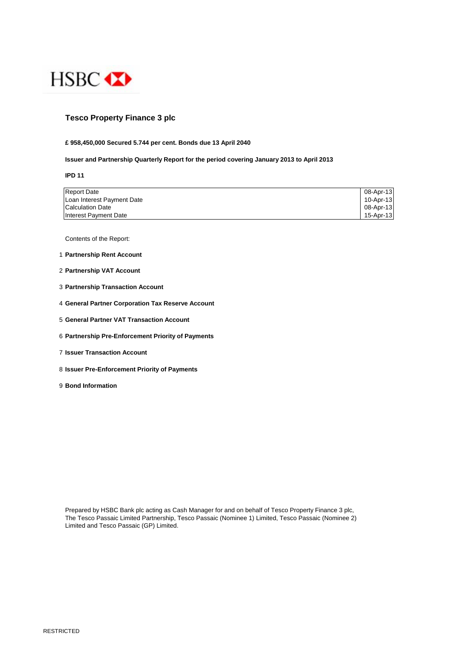

## **Tesco Property Finance 3 plc**

#### **£ 958,450,000 Secured 5.744 per cent. Bonds due 13 April 2040**

#### **Issuer and Partnership Quarterly Report for the period covering January 2013 to April 2013**

**IPD 11**

| <b>Report Date</b>         | 08-Apr-13 |
|----------------------------|-----------|
| Loan Interest Payment Date | 10-Apr-13 |
| Calculation Date           | 08-Apr-13 |
| Interest Payment Date      | 15-Apr-13 |

Contents of the Report:

- 1 **Partnership Rent Account**
- 2 **Partnership VAT Account**
- 3 **Partnership Transaction Account**
- 4 **General Partner Corporation Tax Reserve Account**
- 5 **General Partner VAT Transaction Account**
- 6 **Partnership Pre-Enforcement Priority of Payments**
- 7 **Issuer Transaction Account**
- 8 **Issuer Pre-Enforcement Priority of Payments**
- 9 **Bond Information**

Prepared by HSBC Bank plc acting as Cash Manager for and on behalf of Tesco Property Finance 3 plc, The Tesco Passaic Limited Partnership, Tesco Passaic (Nominee 1) Limited, Tesco Passaic (Nominee 2) Limited and Tesco Passaic (GP) Limited.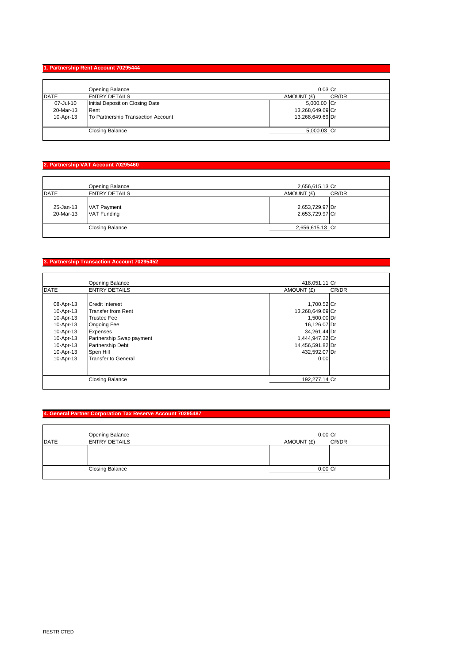### **1. Partnership Rent Account 70295444**

|             | Opening Balance                    | $0.03$ Cr        |       |
|-------------|------------------------------------|------------------|-------|
| <b>DATE</b> | <b>ENTRY DETAILS</b>               | AMOUNT (£)       | CR/DR |
| 07-Jul-10   | Initial Deposit on Closing Date    | 5,000.00 Cr      |       |
| 20-Mar-13   | Rent                               | 13,268,649.69 Cr |       |
| 10-Apr-13   | To Partnership Transaction Account | 13,268,649.69 Dr |       |
|             |                                    |                  |       |
|             | <b>Closing Balance</b>             | 5,000.03 Cr      |       |
|             |                                    |                  |       |

# **2. Partnership VAT Account 70295460**

|                        | Opening Balance                          | 2,656,615.13 Cr                    |       |
|------------------------|------------------------------------------|------------------------------------|-------|
| <b>DATE</b>            | <b>ENTRY DETAILS</b>                     | AMOUNT (£)                         | CR/DR |
| 25-Jan-13<br>20-Mar-13 | <b>VAT Payment</b><br><b>VAT Funding</b> | 2,653,729.97 Dr<br>2,653,729.97 Cr |       |
|                        | <b>Closing Balance</b>                   | 2,656,615.13 Cr                    |       |
|                        |                                          |                                    |       |

# **3. Partnership Transaction Account 70295452**

|             | Opening Balance          | 418,051.11 Cr    |       |
|-------------|--------------------------|------------------|-------|
| <b>DATE</b> | <b>ENTRY DETAILS</b>     | AMOUNT (£)       | CR/DR |
|             |                          |                  |       |
| 08-Apr-13   | Credit Interest          | 1,700.52 Cr      |       |
| 10-Apr-13   | Transfer from Rent       | 13,268,649.69 Cr |       |
| 10-Apr-13   | <b>Trustee Fee</b>       | 1,500.00 Dr      |       |
| 10-Apr-13   | <b>Ongoing Fee</b>       | 16,126.07 Dr     |       |
| 10-Apr-13   | <b>Expenses</b>          | 34,261.44 Dr     |       |
| 10-Apr-13   | Partnership Swap payment | 1,444,947.22 Cr  |       |
| 10-Apr-13   | <b>Partnership Debt</b>  | 14,456,591.82 Dr |       |
| 10-Apr-13   | Spen Hill                | 432,592.07 Dr    |       |
| 10-Apr-13   | Transfer to General      | 0.00             |       |
|             |                          |                  |       |
|             |                          |                  |       |
|             | <b>Closing Balance</b>   | 192,277.14 Cr    |       |

### **4. General Partner Corporation Tax Reserve Account 70295487**

|             | Opening Balance        | $0.00$ Cr  |       |
|-------------|------------------------|------------|-------|
| <b>DATE</b> | <b>ENTRY DETAILS</b>   | AMOUNT (£) | CR/DR |
|             |                        |            |       |
|             | <b>Closing Balance</b> | $0.00$ Cr  |       |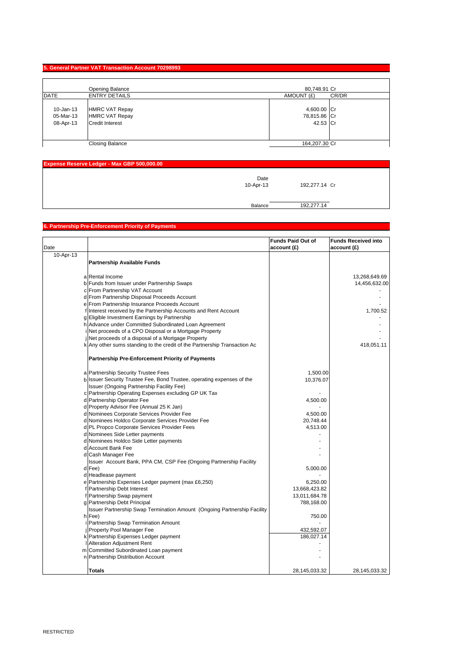### **5. General Partner VAT Transaction Account 70298993**

|           | <b>Opening Balance</b> | 80,748.91 Cr  |       |
|-----------|------------------------|---------------|-------|
| DATE      | <b>ENTRY DETAILS</b>   | AMOUNT (£)    | CR/DR |
| 10-Jan-13 | <b>HMRC VAT Repay</b>  | 4,600.00 Cr   |       |
| 05-Mar-13 | <b>HMRC VAT Repay</b>  | 78,815.86 Cr  |       |
| 08-Apr-13 | <b>Credit Interest</b> | 42.53 Cr      |       |
|           |                        |               |       |
|           | <b>Closing Balance</b> | 164,207.30 Cr |       |

| Expense Reserve Ledger - Max GBP 500,000.00 |                   |               |
|---------------------------------------------|-------------------|---------------|
|                                             | Date<br>10-Apr-13 | 192,277.14 Cr |
|                                             | Balance           | 192,277.14    |

# **6. Partnership Pre-Enforcement Priority of Payments**

| Date      |                                                                           | <b>Funds Paid Out of</b><br>account (£) | <b>Funds Received into</b><br>account (£) |
|-----------|---------------------------------------------------------------------------|-----------------------------------------|-------------------------------------------|
| 10-Apr-13 |                                                                           |                                         |                                           |
|           | <b>Partnership Available Funds</b>                                        |                                         |                                           |
|           | a Rental Income                                                           |                                         | 13,268,649.69                             |
|           | b Funds from Issuer under Partnership Swaps                               |                                         | 14,456,632.00                             |
|           | c From Partnership VAT Account                                            |                                         |                                           |
|           | d From Partnership Disposal Proceeds Account                              |                                         |                                           |
|           | e From Partnership Insurance Proceeds Account                             |                                         |                                           |
|           | Interest received by the Partnership Accounts and Rent Account            |                                         | 1,700.52                                  |
|           | g Eligible Investment Earnings by Partnership                             |                                         |                                           |
|           | h Advance under Committed Subordinated Loan Agreement                     |                                         |                                           |
|           | Net proceeds of a CPO Disposal or a Mortgage Property                     |                                         |                                           |
|           | Net proceeds of a disposal of a Mortgage Property                         |                                         |                                           |
|           | k Any other sums standing to the credit of the Partnership Transaction Ac |                                         | 418,051.11                                |
|           | <b>Partnership Pre-Enforcement Priority of Payments</b>                   |                                         |                                           |
|           | a Partnership Security Trustee Fees                                       | 1,500.00                                |                                           |
| b         | Issuer Security Trustee Fee, Bond Trustee, operating expenses of the      | 10,376.07                               |                                           |
|           | Issuer (Ongoing Partnership Facility Fee)                                 |                                         |                                           |
|           | c Partnership Operating Expenses excluding GP UK Tax                      |                                         |                                           |
|           | d Partnership Operator Fee                                                | 4,500.00                                |                                           |
|           | d Property Advisor Fee (Annual 25 K Jan)                                  |                                         |                                           |
|           | d Nominees Corporate Services Provider Fee                                | 4,500.00                                |                                           |
|           | d Nominees Holdco Corporate Services Provider Fee                         | 20,748.44                               |                                           |
|           | d PL Propco Corporate Services Provider Fees                              | 4,513.00                                |                                           |
|           | d Nominees Side Letter payments                                           |                                         |                                           |
|           | d Nominees Holdco Side Letter payments                                    |                                         |                                           |
|           | d Account Bank Fee                                                        |                                         |                                           |
|           | d Cash Manager Fee                                                        |                                         |                                           |
|           | Issuer Account Bank, PPA CM, CSP Fee (Ongoing Partnership Facility        |                                         |                                           |
|           | d Fee)                                                                    | 5,000.00                                |                                           |
|           | d Headlease payment                                                       |                                         |                                           |
|           | e Partnership Expenses Ledger payment (max £6,250)                        | 6,250.00                                |                                           |
|           | Partnership Debt Interest                                                 | 13,668,423.82                           |                                           |
|           | f Partnership Swap payment                                                | 13,011,684.78                           |                                           |
|           | g Partnership Debt Principal                                              | 788,168.00                              |                                           |
|           | Issuer Partnership Swap Termination Amount (Ongoing Partnership Facility  |                                         |                                           |
|           | h Fee)                                                                    | 750.00                                  |                                           |
|           | Partnership Swap Termination Amount                                       |                                         |                                           |
|           | Property Pool Manager Fee                                                 | 432,592.07                              |                                           |
|           | k Partnership Expenses Ledger payment                                     | 186,027.14                              |                                           |
|           | <b>Alteration Adjustment Rent</b>                                         |                                         |                                           |
|           | m Committed Subordinated Loan payment                                     |                                         |                                           |
|           | n Partnership Distribution Account                                        |                                         |                                           |
|           | <b>Totals</b>                                                             | 28,145,033.32                           | 28,145,033.32                             |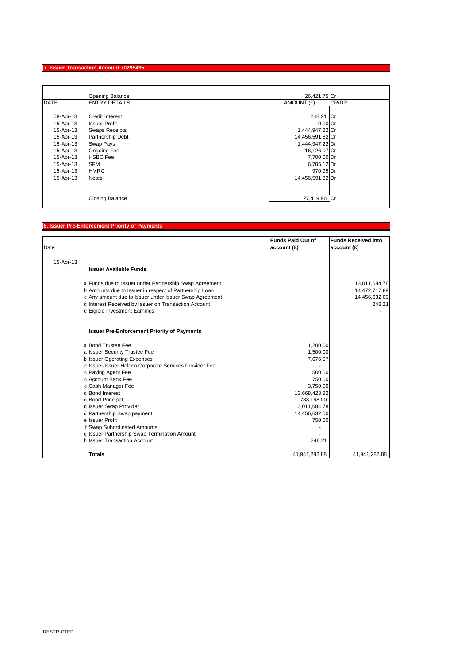### **7. Issuer Transaction Account 70295495**

|             | Opening Balance         | 26.421.75 Cr         |       |
|-------------|-------------------------|----------------------|-------|
| <b>DATE</b> | <b>ENTRY DETAILS</b>    | AMOUNT (£)           | CR/DR |
|             |                         |                      |       |
| 08-Apr-13   | <b>Credit Interest</b>  | 248.21 Cr            |       |
| 15-Apr-13   | <b>Issuer Profit</b>    | $0.00$ <sub>Cr</sub> |       |
| 15-Apr-13   | <b>Swaps Receipts</b>   | 1,444,947.22 Cr      |       |
| 15-Apr-13   | <b>Partnership Debt</b> | 14,456,591.82 Cr     |       |
| 15-Apr-13   | Swap Pays               | 1,444,947.22 Dr      |       |
| 15-Apr-13   | <b>Ongoing Fee</b>      | 16,126.07 Cr         |       |
| 15-Apr-13   | <b>HSBC</b> Fee         | 7,700.00 Dr          |       |
| 15-Apr-13   | <b>SFM</b>              | 6,705.12 Dr          |       |
| 15-Apr-13   | <b>HMRC</b>             | 970.95 Dr            |       |
| 15-Apr-13   | <b>Notes</b>            | 14,456,591.82 Dr     |       |
|             |                         |                      |       |
|             |                         |                      |       |
|             | <b>Closing Balance</b>  | 27,419.96 Cr         |       |

# **8. Issuer Pre-Enforcement Priority of Payments**

|           |                                                        | <b>Funds Paid Out of</b> | <b>Funds Received into</b> |
|-----------|--------------------------------------------------------|--------------------------|----------------------------|
| Date      |                                                        | account (£)              | account (£)                |
|           |                                                        |                          |                            |
| 15-Apr-13 |                                                        |                          |                            |
|           | <b>Issuer Available Funds</b>                          |                          |                            |
|           |                                                        |                          |                            |
|           | a Funds due to Issuer under Partnership Swap Agreement |                          | 13,011,684.78              |
|           | b Amounts due to Issuer in respect of Partnership Loan |                          | 14,472,717.89              |
|           | c Any amount due to Issuer under Issuer Swap Agreement |                          | 14,456,632.00              |
|           | d Interest Received by Issuer on Transaction Account   |                          | 248.21                     |
|           | e Eigible Investment Earnings                          |                          |                            |
|           |                                                        |                          |                            |
|           | <b>Issuer Pre-Enforcement Priority of Payments</b>     |                          |                            |
|           |                                                        |                          |                            |
|           | a Bond Trustee Fee                                     | 1,200.00                 |                            |
|           | a Issuer Security Trustee Fee                          | 1,500.00                 |                            |
|           | <b>b</b> Issuer Operating Expenses                     | 7,676.07                 |                            |
|           | c Issuer/Issuer Holdco Corporate Services Provider Fee |                          |                            |
|           | c Paying Agent Fee                                     | 500.00                   |                            |
|           | c Account Bank Fee                                     | 750.00                   |                            |
|           | c Cash Manager Fee                                     | 3,750.00                 |                            |
|           | d Bond Interest                                        | 13,668,423.82            |                            |
|           | d Bond Principal                                       | 788,168.00               |                            |
|           | d Issuer Swap Provider                                 | 13,011,684.78            |                            |
|           | d Partnership Swap payment                             | 14,456,632.00            |                            |
|           | ellssuer Profit                                        | 750.00                   |                            |
|           | f Swap Subordinated Amounts                            |                          |                            |
|           | g Issuer Partnership Swap Termination Amount           |                          |                            |
|           | h Issuer Transaction Account                           | 248.21                   |                            |
|           | Totals                                                 | 41,941,282.88            | 41,941,282.88              |